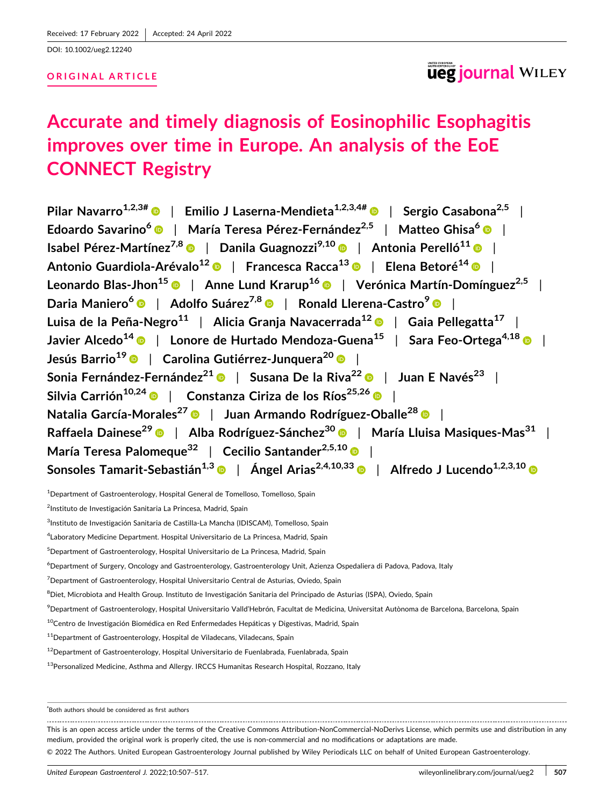DOI: [10.1002/ueg2.12240](https://doi.org/10.1002/ueg2.12240)

## **ORIGINAL ARTICLE**

# ueg journal WILEY

# **Accurate and timely diagnosis of Eosinophilic Esophagitis improves over time in Europe. An analysis of the EoE CONNECT Registry**

**Pilar Navarro1,2,3#** | **Emilio J Laserna‐Mendieta1,2,3,4#** | **Sergio Casabona2,5** | **Edoardo Savarino6** | **María Teresa Pérez‐Fernández2,5** | **Matteo Ghisa6** | **Isabel Pérez‐Martínez7,8** | **Danila Guagnozzi9,10** | **Antonia Perelló<sup>11</sup>** | **Antonio Guardiola‐Arévalo12** | **Francesca Racca13** | **Elena Betoré[14](#page-1-0)** | **Leonardo Blas‐Jho[n15](#page-1-0)** | **Anne Lund Krarup[16](#page-1-0)** | **Verónica Martín‐Domínguez2,5** | **Daria Maniero<sup>6</sup>** | **Adolfo Suárez7,8** | **Ronald Llerena‐Castro9** | **Luisa de la Peña‐Negro11** | **Alicia Granja Navacerrada12** | **Gaia Pellegatt[a17](#page-1-0)** | **Javier Alced[o14](#page-1-0)** | **Lonore de Hurtado Mendoza‐Guen[a15](#page-1-0)** | **Sara Feo‐Ortega4,18** | **Jesús Barri[o19](#page-1-0)** | **Carolina Gutiérrez‐Junquer[a20](#page-1-0)** | **Sonia Fernández‐Fernández[21](#page-1-0)** | **Susana De la Riva[22](#page-1-0)** | **Juan E Navé[s23](#page-1-0)** | **Silvia Carrión10,24** | **Constanza Ciriza de los Río[s25,26](#page-1-0)** | **Natalia García‐Morales[27](#page-1-0)** | **Juan Armando Rodríguez‐Oball[e28](#page-1-0)** | **Raffaela Daines[e29](#page-1-0)** | **Alba Rodríguez‐Sánchez[30](#page-1-0)** | **María Lluisa Masiques‐Mas[31](#page-1-0)** | **María Teresa Palomeque[32](#page-1-0)** | **Cecilio Santander2,5,10** | **Sonsoles Tamarit‐Sebastián1,3** | **Ángel Arias2,4,10,33** | **Alfredo J Lucendo1,2,3,10**

<sup>1</sup>Department of Gastroenterology, Hospital General de Tomelloso, Tomelloso, Spain

<sup>2</sup>Instituto de Investigación Sanitaria La Princesa, Madrid, Spain

<sup>3</sup>Instituto de Investigación Sanitaria de Castilla-La Mancha (IDISCAM), Tomelloso, Spain

4 Laboratory Medicine Department. Hospital Universitario de La Princesa, Madrid, Spain

5 Department of Gastroenterology, Hospital Universitario de La Princesa, Madrid, Spain

6 Department of Surgery, Oncology and Gastroenterology, Gastroenterology Unit, Azienza Ospedaliera di Padova, Padova, Italy

<sup>7</sup>Department of Gastroenterology, Hospital Universitario Central de Asturias, Oviedo, Spain

<sup>8</sup>Diet, Microbiota and Health Group. Instituto de Investigación Sanitaria del Principado de Asturias (ISPA), Oviedo, Spain

9 Department of Gastroenterology, Hospital Universitario Valld'Hebrón, Facultat de Medicina, Universitat Autònoma de Barcelona, Barcelona, Spain

<sup>10</sup>Centro de Investigación Biomédica en Red Enfermedades Hepáticas y Digestivas, Madrid, Spain

 $11$ Department of Gastroenterology, Hospital de Viladecans, Viladecans, Spain

<sup>12</sup>Department of Gastroenterology, Hospital Universitario de Fuenlabrada, Fuenlabrada, Spain

<sup>13</sup> Personalized Medicine, Asthma and Allergy. IRCCS Humanitas Research Hospital, Rozzano, Italy

# Both authors should be considered as first authors

This is an open access article under the terms of the Creative Commons Attribution‐NonCommercial‐NoDerivs License, which permits use and distribution in any medium, provided the original work is properly cited, the use is non-commercial and no modifications or adaptations are made.

© 2022 The Authors. United European Gastroenterology Journal published by Wiley Periodicals LLC on behalf of United European Gastroenterology.

*United European Gastroenterol J.* 2022;10:507–517. [wileyonlinelibrary.com/journal/ueg2](http://wileyonlinelibrary.com/journal/ueg2)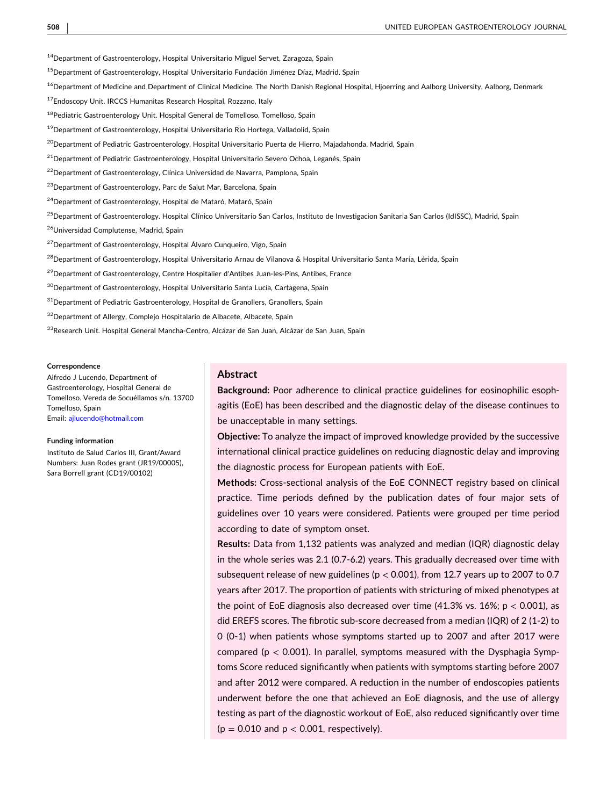<span id="page-1-0"></span>14Department of Gastroenterology, Hospital Universitario Miguel Servet, Zaragoza, Spain

<sup>15</sup>Department of Gastroenterology, Hospital Universitario Fundación Jiménez Díaz, Madrid, Spain

<sup>16</sup>Department of Medicine and Department of Clinical Medicine. The North Danish Regional Hospital, Hjoerring and Aalborg University, Aalborg, Denmark

17Endoscopy Unit. IRCCS Humanitas Research Hospital, Rozzano, Italy

<sup>18</sup>Pediatric Gastroenterology Unit. Hospital General de Tomelloso, Tomelloso, Spain

<sup>19</sup>Department of Gastroenterology, Hospital Universitario Rio Hortega, Valladolid, Spain

<sup>20</sup>Department of Pediatric Gastroenterology, Hospital Universitario Puerta de Hierro, Majadahonda, Madrid, Spain

<sup>21</sup>Department of Pediatric Gastroenterology, Hospital Universitario Severo Ochoa, Leganés, Spain

<sup>22</sup>Department of Gastroenterology, Clínica Universidad de Navarra, Pamplona, Spain

<sup>23</sup>Department of Gastroenterology, Parc de Salut Mar, Barcelona, Spain

<sup>24</sup>Department of Gastroenterology, Hospital de Mataró, Mataró, Spain

<sup>25</sup>Department of Gastroenterology. Hospital Clínico Universitario San Carlos, Instituto de Investigacion Sanitaria San Carlos (IdISSC), Madrid, Spain

26Universidad Complutense, Madrid, Spain

<sup>27</sup>Department of Gastroenterology, Hospital Álvaro Cunqueiro, Vigo, Spain

<sup>28</sup>Department of Gastroenterology, Hospital Universitario Arnau de Vilanova & Hospital Universitario Santa María, Lérida, Spain

<sup>29</sup>Department of Gastroenterology, Centre Hospitalier d'Antibes Juan-les-Pins, Antibes, France

<sup>30</sup>Department of Gastroenterology, Hospital Universitario Santa Lucía, Cartagena, Spain

 $31$ Department of Pediatric Gastroenterology, Hospital de Granollers, Granollers, Spain

<sup>32</sup>Department of Allergy, Complejo Hospitalario de Albacete, Albacete, Spain

33Research Unit. Hospital General Mancha-Centro, Alcázar de San Juan, Alcázar de San Juan, Spain

#### **Correspondence**

Alfredo J Lucendo, Department of Gastroenterology, Hospital General de Tomelloso. Vereda de Socuéllamos s/n. 13700 Tomelloso, Spain Email: [ajlucendo@hotmail.com](mailto:ajlucendo@hotmail.com)

#### **Funding information**

Instituto de Salud Carlos III, Grant/Award Numbers: Juan Rodes grant (JR19/00005), Sara Borrell grant (CD19/00102)

#### **Abstract**

**Background:** Poor adherence to clinical practice guidelines for eosinophilic esophagitis (EoE) has been described and the diagnostic delay of the disease continues to be unacceptable in many settings.

**Objective:** To analyze the impact of improved knowledge provided by the successive international clinical practice guidelines on reducing diagnostic delay and improving the diagnostic process for European patients with EoE.

**Methods:** Cross‐sectional analysis of the EoE CONNECT registry based on clinical practice. Time periods defined by the publication dates of four major sets of guidelines over 10 years were considered. Patients were grouped per time period according to date of symptom onset.

**Results:** Data from 1,132 patients was analyzed and median (IQR) diagnostic delay in the whole series was 2.1 (0.7‐6.2) years. This gradually decreased over time with subsequent release of new guidelines (p < 0.001), from 12.7 years up to 2007 to 0.7 years after 2017. The proportion of patients with stricturing of mixed phenotypes at the point of EoE diagnosis also decreased over time  $(41.3\% \text{ vs. } 16\%; p < 0.001)$ , as did EREFS scores. The fibrotic sub‐score decreased from a median (IQR) of 2 (1‐2) to 0 (0‐1) when patients whose symptoms started up to 2007 and after 2017 were compared ( $p < 0.001$ ). In parallel, symptoms measured with the Dysphagia Symptoms Score reduced significantly when patients with symptoms starting before 2007 and after 2012 were compared. A reduction in the number of endoscopies patients underwent before the one that achieved an EoE diagnosis, and the use of allergy testing as part of the diagnostic workout of EoE, also reduced significantly over time  $(p = 0.010$  and  $p < 0.001$ , respectively).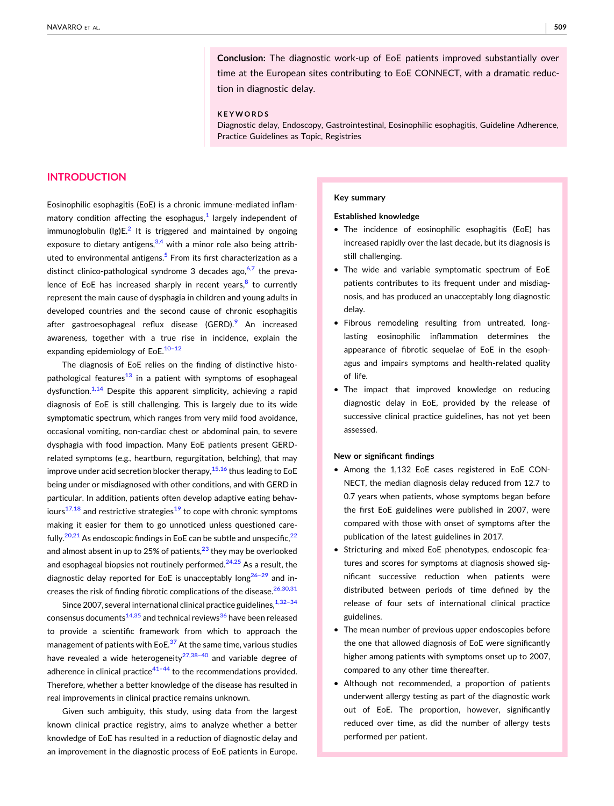**Conclusion:** The diagnostic work‐up of EoE patients improved substantially over time at the European sites contributing to EoE CONNECT, with a dramatic reduction in diagnostic delay.

#### **KEYWORDS**

Diagnostic delay, Endoscopy, Gastrointestinal, Eosinophilic esophagitis, Guideline Adherence, Practice Guidelines as Topic, Registries

## **INTRODUCTION**

Eosinophilic esophagitis (EoE) is a chronic immune‐mediated inflammatory condition affecting the esophagus, $1$  largely independent of immunoglobulin  $\left( \lg \right) E^2$  $\left( \lg \right) E^2$  It is triggered and maintained by ongoing exposure to dietary antigens,  $3,4$  with a minor role also being attrib-uted to environmental antigens.<sup>[5](#page-8-0)</sup> From its first characterization as a distinct clinico-pathological syndrome 3 decades ago, $6\frac{1}{2}$  the prevalence of EoE has increased sharply in recent years, $8$  to currently represent the main cause of dysphagia in children and young adults in developed countries and the second cause of chronic esophagitis after gastroesophageal reflux disease (GERD).<sup>[9](#page-9-0)</sup> An increased awareness, together with a true rise in incidence, explain the expanding epidemiology of EoE.<sup>10-12</sup>

The diagnosis of EoE relies on the finding of distinctive histopathological features<sup>13</sup> in a patient with symptoms of esophageal dysfunction.<sup>[1,14](#page-8-0)</sup> Despite this apparent simplicity, achieving a rapid diagnosis of EoE is still challenging. This is largely due to its wide symptomatic spectrum, which ranges from very mild food avoidance, occasional vomiting, non‐cardiac chest or abdominal pain, to severe dysphagia with food impaction. Many EoE patients present GERD‐ related symptoms (e.g., heartburn, regurgitation, belching), that may improve under acid secretion blocker therapy,  $15,16$  $15,16$  $15,16$  thus leading to EoE being under or misdiagnosed with other conditions, and with GERD in particular. In addition, patients often develop adaptive eating behav-iours<sup>17,18</sup> and restrictive strategies<sup>[19](#page-9-0)</sup> to cope with chronic symptoms making it easier for them to go unnoticed unless questioned care-fully.<sup>[20,21](#page-9-0)</sup> As endoscopic findings in EoE can be subtle and unspecific,  $2^2$ and almost absent in up to 25% of patients, $^{23}$  $^{23}$  $^{23}$  they may be overlooked and esophageal biopsies not routinely performed. $24,25$  As a result, the diagnostic delay reported for EoE is unacceptably long<sup>26-29</sup> and increases the risk of finding fibrotic complications of the disease.<sup>26,30,31</sup>

Since 2007, several international clinical practice guidelines,  $1,32-34$ consensus documents<sup>[14,35](#page-9-0)</sup> and technical reviews<sup>[36](#page-10-0)</sup> have been released to provide a scientific framework from which to approach the management of patients with  $EoE<sup>37</sup>$  $EoE<sup>37</sup>$  $EoE<sup>37</sup>$  At the same time, various studies have revealed a wide heterogeneity $27,38-40$  and variable degree of adherence in clinical practice $41-44$  to the recommendations provided. Therefore, whether a better knowledge of the disease has resulted in real improvements in clinical practice remains unknown.

Given such ambiguity, this study, using data from the largest known clinical practice registry, aims to analyze whether a better knowledge of EoE has resulted in a reduction of diagnostic delay and an improvement in the diagnostic process of EoE patients in Europe.

#### **Key summary**

#### **Established knowledge**

- � The incidence of eosinophilic esophagitis (EoE) has increased rapidly over the last decade, but its diagnosis is still challenging.
- � The wide and variable symptomatic spectrum of EoE patients contributes to its frequent under and misdiagnosis, and has produced an unacceptably long diagnostic delay.
- � Fibrous remodeling resulting from untreated, long‐ lasting eosinophilic inflammation determines the appearance of fibrotic sequelae of EoE in the esophagus and impairs symptoms and health-related quality of life.
- The impact that improved knowledge on reducing diagnostic delay in EoE, provided by the release of successive clinical practice guidelines, has not yet been assessed.

#### **New or significant findings**

- � Among the 1,132 EoE cases registered in EoE CON-NECT, the median diagnosis delay reduced from 12.7 to 0.7 years when patients, whose symptoms began before the first EoE guidelines were published in 2007, were compared with those with onset of symptoms after the publication of the latest guidelines in 2017.
- Stricturing and mixed EoE phenotypes, endoscopic features and scores for symptoms at diagnosis showed significant successive reduction when patients were distributed between periods of time defined by the release of four sets of international clinical practice guidelines.
- � The mean number of previous upper endoscopies before the one that allowed diagnosis of EoE were significantly higher among patients with symptoms onset up to 2007, compared to any other time thereafter.
- � Although not recommended, a proportion of patients underwent allergy testing as part of the diagnostic work out of EoE. The proportion, however, significantly reduced over time, as did the number of allergy tests performed per patient.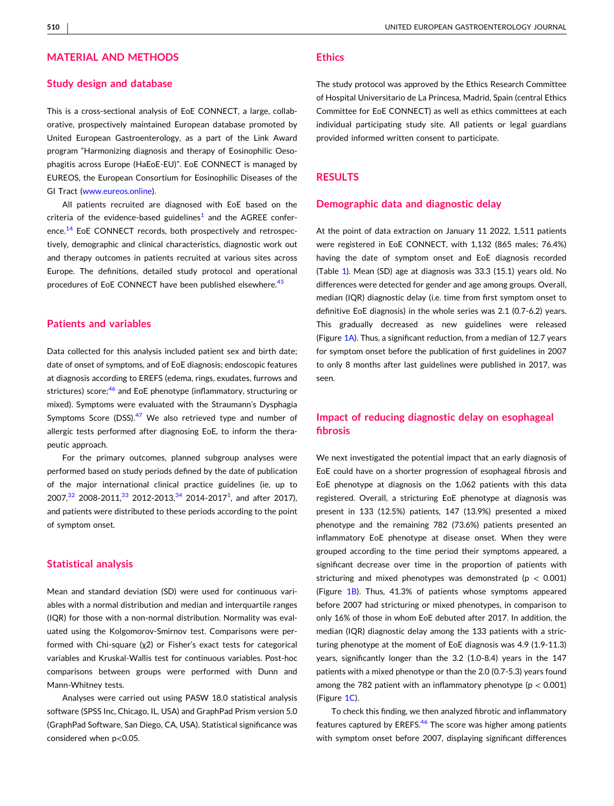## **MATERIAL AND METHODS**

#### **Study design and database**

This is a cross-sectional analysis of EoE CONNECT, a large, collaborative, prospectively maintained European database promoted by United European Gastroenterology, as a part of the Link Award program "Harmonizing diagnosis and therapy of Eosinophilic Oesophagitis across Europe (HaEoE‐EU)". EoE CONNECT is managed by EUREOS, the European Consortium for Eosinophilic Diseases of the GI Tract [\(www.eureos.online](http://www.eureos.online)).

All patients recruited are diagnosed with EoE based on the criteria of the evidence-based guidelines $<sup>1</sup>$  $<sup>1</sup>$  $<sup>1</sup>$  and the AGREE confer-</sup> ence.<sup>[14](#page-9-0)</sup> EoE CONNECT records, both prospectively and retrospectively, demographic and clinical characteristics, diagnostic work out and therapy outcomes in patients recruited at various sites across Europe. The definitions, detailed study protocol and operational procedures of EoE CONNECT have been published elsewhere.<sup>[45](#page-10-0)</sup>

#### **Patients and variables**

Data collected for this analysis included patient sex and birth date; date of onset of symptoms, and of EoE diagnosis; endoscopic features at diagnosis according to EREFS (edema, rings, exudates, furrows and strictures) score;<sup>46</sup> and EoE phenotype (inflammatory, structuring or mixed). Symptoms were evaluated with the Straumann's Dysphagia Symptoms Score (DSS). $47$  We also retrieved type and number of allergic tests performed after diagnosing EoE, to inform the therapeutic approach.

For the primary outcomes, planned subgroup analyses were performed based on study periods defined by the date of publication of the major international clinical practice guidelines (ie, up to 2007,<sup>[32](#page-9-0)</sup> 2008-2011,<sup>[33](#page-9-0)</sup> 2012-2013,<sup>[34](#page-9-0)</sup> 20[1](#page-8-0)4-2017<sup>1</sup>, and after 2017), and patients were distributed to these periods according to the point of symptom onset.

### **Statistical analysis**

Mean and standard deviation (SD) were used for continuous variables with a normal distribution and median and interquartile ranges (IQR) for those with a non‐normal distribution. Normality was evaluated using the Kolgomorov‐Smirnov test. Comparisons were performed with Chi‐square (χ2) or Fisher's exact tests for categorical variables and Kruskal‐Wallis test for continuous variables. Post‐hoc comparisons between groups were performed with Dunn and Mann‐Whitney tests.

Analyses were carried out using PASW 18.0 statistical analysis software (SPSS Inc, Chicago, IL, USA) and GraphPad Prism version 5.0 (GraphPad Software, San Diego, CA, USA). Statistical significance was considered when p<0.05.

## **Ethics**

The study protocol was approved by the Ethics Research Committee of Hospital Universitario de La Princesa, Madrid, Spain (central Ethics Committee for EoE CONNECT) as well as ethics committees at each individual participating study site. All patients or legal guardians provided informed written consent to participate.

#### **RESULTS**

#### **Demographic data and diagnostic delay**

At the point of data extraction on January 11 2022, 1,511 patients were registered in EoE CONNECT, with 1,132 (865 males; 76.4%) having the date of symptom onset and EoE diagnosis recorded (Table [1](#page-4-0)). Mean (SD) age at diagnosis was 33.3 (15.1) years old. No differences were detected for gender and age among groups. Overall, median (IQR) diagnostic delay (i.e. time from first symptom onset to definitive EoE diagnosis) in the whole series was 2.1 (0.7‐6.2) years. This gradually decreased as new guidelines were released (Figure [1A\)](#page-4-0). Thus, a significant reduction, from a median of 12.7 years for symptom onset before the publication of first guidelines in 2007 to only 8 months after last guidelines were published in 2017, was seen.

# **Impact of reducing diagnostic delay on esophageal fibrosis**

We next investigated the potential impact that an early diagnosis of EoE could have on a shorter progression of esophageal fibrosis and EoE phenotype at diagnosis on the 1,062 patients with this data registered. Overall, a stricturing EoE phenotype at diagnosis was present in 133 (12.5%) patients, 147 (13.9%) presented a mixed phenotype and the remaining 782 (73.6%) patients presented an inflammatory EoE phenotype at disease onset. When they were grouped according to the time period their symptoms appeared, a significant decrease over time in the proportion of patients with stricturing and mixed phenotypes was demonstrated ( $p < 0.001$ ) (Figure [1B](#page-4-0)). Thus, 41.3% of patients whose symptoms appeared before 2007 had stricturing or mixed phenotypes, in comparison to only 16% of those in whom EoE debuted after 2017. In addition, the median (IQR) diagnostic delay among the 133 patients with a stricturing phenotype at the moment of EoE diagnosis was 4.9 (1.9‐11.3) years, significantly longer than the 3.2 (1.0‐8.4) years in the 147 patients with a mixed phenotype or than the 2.0 (0.7‐5.3) years found among the 782 patient with an inflammatory phenotype ( $p < 0.001$ ) (Figure [1C](#page-4-0)).

To check this finding, we then analyzed fibrotic and inflammatory features captured by EREFS.<sup>46</sup> The score was higher among patients with symptom onset before 2007, displaying significant differences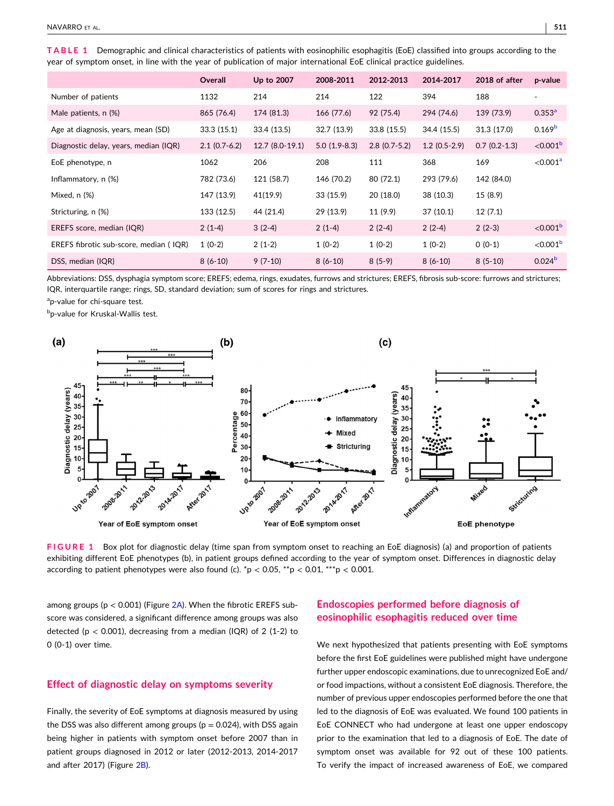<span id="page-4-0"></span>**TABLE 1** Demographic and clinical characteristics of patients with eosinophilic esophagitis (EoE) classified into groups according to the year of symptom onset, in line with the year of publication of major international EoE clinical practice guidelines.

|                                        | Overall        | Up to 2007       | 2008-2011      | 2012-2013      | 2014-2017      | 2018 of after  | p-value              |
|----------------------------------------|----------------|------------------|----------------|----------------|----------------|----------------|----------------------|
| Number of patients                     | 1132           | 214              | 214            | 122            | 394            | 188            | ٠                    |
| Male patients, n (%)                   | 865 (76.4)     | 174 (81.3)       | 166 (77.6)     | 92 (75.4)      | 294 (74.6)     | 139 (73.9)     | 0.353 <sup>a</sup>   |
| Age at diagnosis, years, mean (SD)     | 33.3(15.1)     | 33.4 (13.5)      | 32.7 (13.9)    | 33.8 (15.5)    | 34.4 (15.5)    | 31.3(17.0)     | 0.169 <sup>b</sup>   |
| Diagnostic delay, years, median (IQR)  | $2.1(0.7-6.2)$ | $12.7(8.0-19.1)$ | $5.0(1.9-8.3)$ | $2.8(0.7-5.2)$ | $1.2(0.5-2.9)$ | $0.7(0.2-1.3)$ | $<$ 0.001 $b$        |
| EoE phenotype, n                       | 1062           | 206              | 208            | 111            | 368            | 169            | < 0.001 <sup>a</sup> |
| Inflammatory, $n$ $(\%)$               | 782 (73.6)     | 121 (58.7)       | 146 (70.2)     | 80 (72.1)      | 293 (79.6)     | 142 (84.0)     |                      |
| Mixed, n (%)                           | 147 (13.9)     | 41(19.9)         | 33 (15.9)      | 20 (18.0)      | 38 (10.3)      | 15 (8.9)       |                      |
| Stricturing, n (%)                     | 133 (12.5)     | 44 (21.4)        | 29 (13.9)      | 11(9.9)        | 37(10.1)       | 12(7.1)        |                      |
| EREFS score, median (IQR)              | $2(1-4)$       | $3(2-4)$         | $2(1-4)$       | $2(2-4)$       | $2(2-4)$       | $2(2-3)$       | < 0.001 <sup>b</sup> |
| EREFS fibrotic sub-score, median (IQR) | $1(0-2)$       | $2(1-2)$         | $1(0-2)$       | $1(0-2)$       | $1(0-2)$       | $0(0-1)$       | < 0.001 <sup>b</sup> |
| DSS, median (IQR)                      | $8(6-10)$      | $9(7-10)$        | $8(6-10)$      | $8(5-9)$       | $8(6-10)$      | $8(5-10)$      | 0.024 <sup>b</sup>   |

Abbreviations: DSS, dysphagia symptom score; EREFS; edema, rings, exudates, furrows and strictures; EREFS, fibrosis sub‐score: furrows and strictures; IQR, interquartile range; rings, SD, standard deviation; sum of scores for rings and strictures.

<sup>a</sup>p-value for chi-square test.

bp-value for Kruskal-Wallis test.



**FIGURE 1** Box plot for diagnostic delay (time span from symptom onset to reaching an EoE diagnosis) (a) and proportion of patients exhibiting different EoE phenotypes (b), in patient groups defined according to the year of symptom onset. Differences in diagnostic delay according to patient phenotypes were also found (c).  $p > 0.05$ ,  $p > 0.01$ ,  $p > 0.001$ .

among groups ( $p < 0.001$ ) (Figure [2A\)](#page-5-0). When the fibrotic EREFS subscore was considered, a significant difference among groups was also detected ( $p < 0.001$ ), decreasing from a median (IQR) of 2 (1-2) to 0 (0‐1) over time.

#### **Effect of diagnostic delay on symptoms severity**

Finally, the severity of EoE symptoms at diagnosis measured by using the DSS was also different among groups ( $p = 0.024$ ), with DSS again being higher in patients with symptom onset before 2007 than in patient groups diagnosed in 2012 or later (2012‐2013, 2014‐2017 and after 2017) (Figure [2B\)](#page-5-0).

# **Endoscopies performed before diagnosis of eosinophilic esophagitis reduced over time**

We next hypothesized that patients presenting with EoE symptoms before the first EoE guidelines were published might have undergone further upper endoscopic examinations, due to unrecognized EoE and/ or food impactions, without a consistent EoE diagnosis. Therefore, the number of previous upper endoscopies performed before the one that led to the diagnosis of EoE was evaluated. We found 100 patients in EoE CONNECT who had undergone at least one upper endoscopy prior to the examination that led to a diagnosis of EoE. The date of symptom onset was available for 92 out of these 100 patients. To verify the impact of increased awareness of EoE, we compared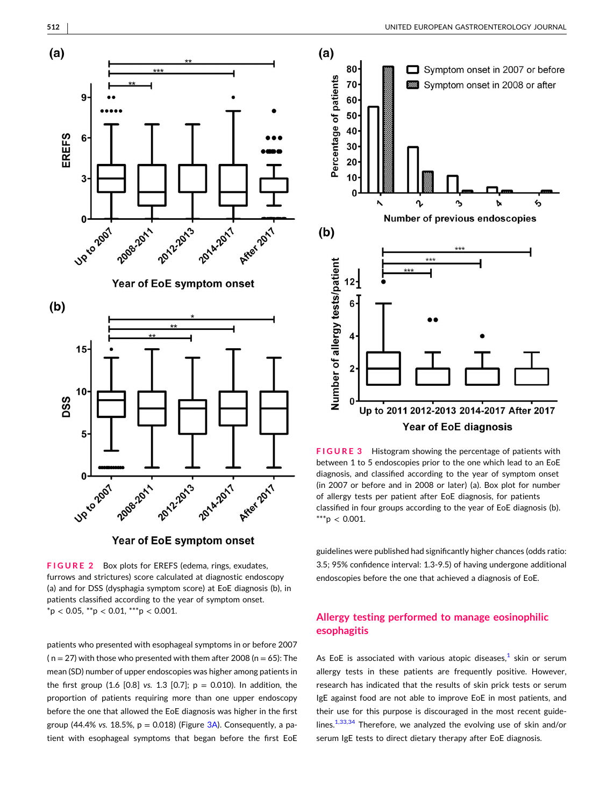<span id="page-5-0"></span>

Year of EoE symptom onset

**FIGURE 2** Box plots for EREFS (edema, rings, exudates, furrows and strictures) score calculated at diagnostic endoscopy (a) and for DSS (dysphagia symptom score) at EoE diagnosis (b), in patients classified according to the year of symptom onset.  $*$ p < 0.05,  $*$  $*$ p < 0.01,  $*$  $*$  $*$ p < 0.001.

patients who presented with esophageal symptoms in or before 2007  $(n = 27)$  with those who presented with them after 2008  $(n = 65)$ : The mean (SD) number of upper endoscopies was higher among patients in the first group  $(1.6 \, [0.8] \, \text{vs.} \, 1.3 \, [0.7]; \, \text{p} = 0.010$ ). In addition, the proportion of patients requiring more than one upper endoscopy before the one that allowed the EoE diagnosis was higher in the first group (44.4% *vs.* 18.5%,  $p = 0.018$ ) (Figure  $3A$ ). Consequently, a patient with esophageal symptoms that began before the first EoE



**FIGURE 3** Histogram showing the percentage of patients with between 1 to 5 endoscopies prior to the one which lead to an EoE diagnosis, and classified according to the year of symptom onset (in 2007 or before and in 2008 or later) (a). Box plot for number of allergy tests per patient after EoE diagnosis, for patients classified in four groups according to the year of EoE diagnosis (b).  $***p < 0.001$ .

guidelines were published had significantly higher chances (odds ratio: 3.5; 95% confidence interval: 1.3‐9.5) of having undergone additional endoscopies before the one that achieved a diagnosis of EoE.

## **Allergy testing performed to manage eosinophilic esophagitis**

As EoE is associated with various atopic diseases, $<sup>1</sup>$  $<sup>1</sup>$  $<sup>1</sup>$  skin or serum</sup> allergy tests in these patients are frequently positive. However, research has indicated that the results of skin prick tests or serum IgE against food are not able to improve EoE in most patients, and their use for this purpose is discouraged in the most recent guide-lines.<sup>[1,33,34](#page-8-0)</sup> Therefore, we analyzed the evolving use of skin and/or serum IgE tests to direct dietary therapy after EoE diagnosis.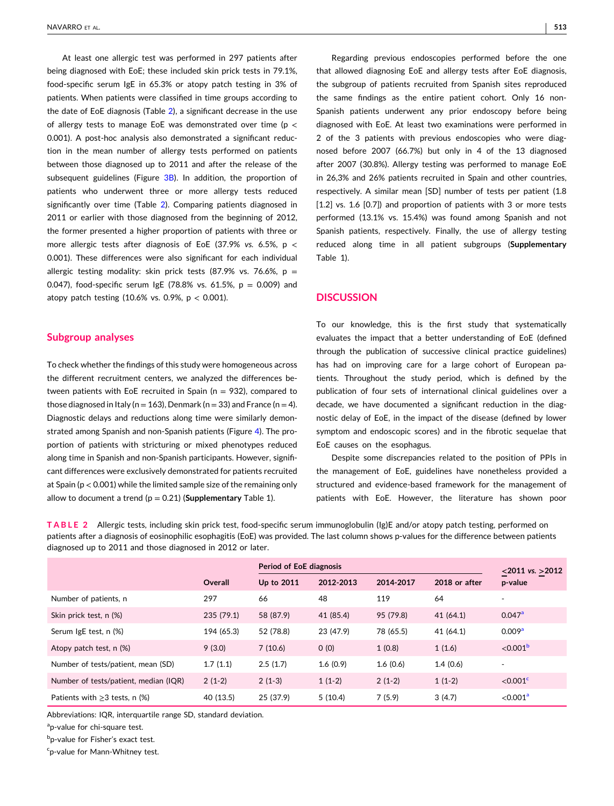At least one allergic test was performed in 297 patients after being diagnosed with EoE; these included skin prick tests in 79.1%, food‐specific serum IgE in 65.3% or atopy patch testing in 3% of patients. When patients were classified in time groups according to the date of EoE diagnosis (Table 2), a significant decrease in the use of allergy tests to manage EoE was demonstrated over time ( $p <$ 0.001). A post-hoc analysis also demonstrated a significant reduction in the mean number of allergy tests performed on patients between those diagnosed up to 2011 and after the release of the subsequent guidelines (Figure  $3B$ ). In addition, the proportion of patients who underwent three or more allergy tests reduced significantly over time (Table 2). Comparing patients diagnosed in 2011 or earlier with those diagnosed from the beginning of 2012, the former presented a higher proportion of patients with three or more allergic tests after diagnosis of EoE (37.9% *vs.* 6.5%, p < 0.001). These differences were also significant for each individual allergic testing modality: skin prick tests  $(87.9\% \text{ vs. } 76.6\%, \text{ p} =$ 0.047), food-specific serum IgE (78.8% vs. 61.5%,  $p = 0.009$ ) and atopy patch testing  $(10.6\% \text{ vs. } 0.9\%, \text{ p} < 0.001)$ .

#### **Subgroup analyses**

To check whether the findings of this study were homogeneous across the different recruitment centers, we analyzed the differences between patients with EoE recruited in Spain ( $n = 932$ ), compared to those diagnosed in Italy (n = 163), Denmark (n = 33) and France (n = 4). Diagnostic delays and reductions along time were similarly demonstrated among Spanish and non‐Spanish patients (Figure [4\)](#page-7-0). The proportion of patients with stricturing or mixed phenotypes reduced along time in Spanish and non‐Spanish participants. However, significant differences were exclusively demonstrated for patients recruited at Spain ( $p < 0.001$ ) while the limited sample size of the remaining only allow to document a trend (p = 0.21) (**Supplementary** Table 1).

Regarding previous endoscopies performed before the one that allowed diagnosing EoE and allergy tests after EoE diagnosis, the subgroup of patients recruited from Spanish sites reproduced the same findings as the entire patient cohort. Only 16 non-Spanish patients underwent any prior endoscopy before being diagnosed with EoE. At least two examinations were performed in 2 of the 3 patients with previous endoscopies who were diagnosed before 2007 (66.7%) but only in 4 of the 13 diagnosed after 2007 (30.8%). Allergy testing was performed to manage EoE in 26,3% and 26% patients recruited in Spain and other countries, respectively. A similar mean [SD] number of tests per patient (1.8 [1.2] vs. 1.6 [0.7]) and proportion of patients with 3 or more tests performed (13.1% vs. 15.4%) was found among Spanish and not Spanish patients, respectively. Finally, the use of allergy testing reduced along time in all patient subgroups (**Supplementary** Table 1).

#### **DISCUSSION**

To our knowledge, this is the first study that systematically evaluates the impact that a better understanding of EoE (defined through the publication of successive clinical practice guidelines) has had on improving care for a large cohort of European patients. Throughout the study period, which is defined by the publication of four sets of international clinical guidelines over a decade, we have documented a significant reduction in the diagnostic delay of EoE, in the impact of the disease (defined by lower symptom and endoscopic scores) and in the fibrotic sequelae that EoE causes on the esophagus.

Despite some discrepancies related to the position of PPIs in the management of EoE, guidelines have nonetheless provided a structured and evidence‐based framework for the management of patients with EoE. However, the literature has shown poor

**TABLE 2** Allergic tests, including skin prick test, food‐specific serum immunoglobulin (Ig)E and/or atopy patch testing, performed on patients after a diagnosis of eosinophilic esophagitis (EoE) was provided. The last column shows p-values for the difference between patients diagnosed up to 2011 and those diagnosed in 2012 or later.

|                                       |            | Period of EoE diagnosis |           | $<$ 2011 vs. > 2012 |               |                      |  |
|---------------------------------------|------------|-------------------------|-----------|---------------------|---------------|----------------------|--|
|                                       | Overall    | Up to 2011              | 2012-2013 | 2014-2017           | 2018 or after | p-value              |  |
| Number of patients, n                 | 297        | 66                      | 48        | 119                 | 64            |                      |  |
| Skin prick test, n (%)                | 235 (79.1) | 58 (87.9)               | 41 (85.4) | 95 (79.8)           | 41 (64.1)     | 0.047a               |  |
| Serum IgE test, n (%)                 | 194 (65.3) | 52 (78.8)               | 23 (47.9) | 78 (65.5)           | 41 (64.1)     | 0.009 <sup>a</sup>   |  |
| Atopy patch test, n (%)               | 9(3.0)     | 7(10.6)                 | 0(0)      | 1(0.8)              | 1(1.6)        | < 0.001 <sup>b</sup> |  |
| Number of tests/patient, mean (SD)    | 1.7(1.1)   | 2.5(1.7)                | 1.6(0.9)  | 1.6(0.6)            | 1.4(0.6)      | $\overline{a}$       |  |
| Number of tests/patient, median (IQR) | $2(1-2)$   | $2(1-3)$                | $1(1-2)$  | $2(1-2)$            | $1(1-2)$      | $<$ 0.001 $\rm{^c}$  |  |
| Patients with $\geq$ 3 tests, n (%)   | 40 (13.5)  | 25 (37.9)               | 5(10.4)   | 7(5.9)              | 3(4.7)        | < 0.001 <sup>a</sup> |  |

Abbreviations: IQR, interquartile range SD, standard deviation.

<sup>a</sup>p-value for chi-square test.

b<sub>p</sub>-value for Fisher's exact test.

<sup>c</sup>p-value for Mann-Whitney test.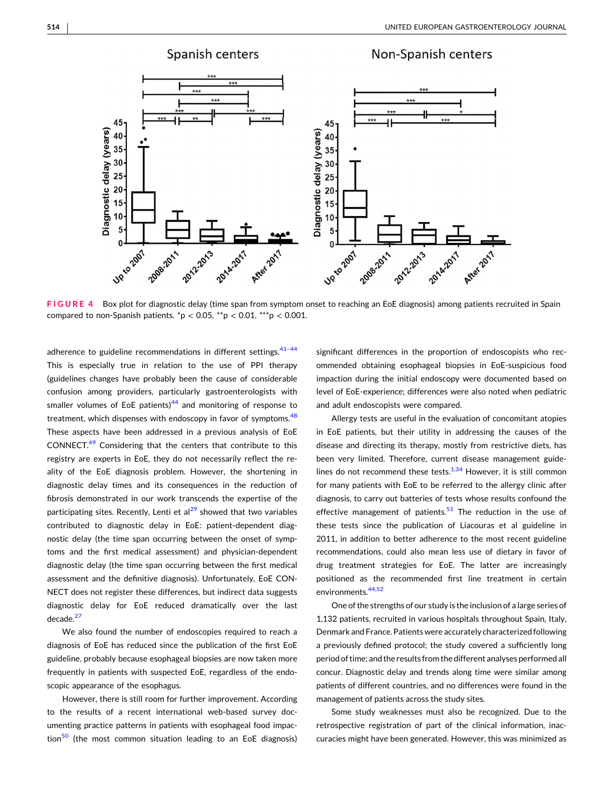<span id="page-7-0"></span>

**FIGURE 4** Box plot for diagnostic delay (time span from symptom onset to reaching an EoE diagnosis) among patients recruited in Spain compared to non-Spanish patients.  $p < 0.05$ ,  $p > 0.01$ ,  $p > 0.001$ .

adherence to guideline recommendations in different settings. $41-44$ This is especially true in relation to the use of PPI therapy (guidelines changes have probably been the cause of considerable confusion among providers, particularly gastroenterologists with smaller volumes of EoE patients) $44$  and monitoring of response to treatment, which dispenses with endoscopy in favor of symptoms.<sup>[48](#page-10-0)</sup> These aspects have been addressed in a previous analysis of EoE CONNECT.[49](#page-10-0) Considering that the centers that contribute to this registry are experts in EoE, they do not necessarily reflect the reality of the EoE diagnosis problem. However, the shortening in diagnostic delay times and its consequences in the reduction of fibrosis demonstrated in our work transcends the expertise of the participating sites. Recently, Lenti et  $al^{29}$  $al^{29}$  $al^{29}$  showed that two variables contributed to diagnostic delay in EoE: patient‐dependent diagnostic delay (the time span occurring between the onset of symptoms and the first medical assessment) and physician‐dependent diagnostic delay (the time span occurring between the first medical assessment and the definitive diagnosis). Unfortunately, EoE CON-NECT does not register these differences, but indirect data suggests diagnostic delay for EoE reduced dramatically over the last decade.<sup>27</sup>

We also found the number of endoscopies required to reach a diagnosis of EoE has reduced since the publication of the first EoE guideline, probably because esophageal biopsies are now taken more frequently in patients with suspected EoE, regardless of the endoscopic appearance of the esophagus.

However, there is still room for further improvement. According to the results of a recent international web‐based survey documenting practice patterns in patients with esophageal food impac- $\frac{50}{10}$  $\frac{50}{10}$  $\frac{50}{10}$  (the most common situation leading to an EoE diagnosis)

significant differences in the proportion of endoscopists who recommended obtaining esophageal biopsies in EoE‐suspicious food impaction during the initial endoscopy were documented based on level of EoE‐experience; differences were also noted when pediatric and adult endoscopists were compared.

Allergy tests are useful in the evaluation of concomitant atopies in EoE patients, but their utility in addressing the causes of the disease and directing its therapy, mostly from restrictive diets, has been very limited. Therefore, current disease management guidelines do not recommend these tests. $1,34$  However, it is still common for many patients with EoE to be referred to the allergy clinic after diagnosis, to carry out batteries of tests whose results confound the effective management of patients. $51$  The reduction in the use of these tests since the publication of Liacouras et al guideline in 2011, in addition to better adherence to the most recent guideline recommendations, could also mean less use of dietary in favor of drug treatment strategies for EoE. The latter are increasingly positioned as the recommended first line treatment in certain environments.[44,52](#page-10-0)

One of the strengths of our study is the inclusion of a large series of 1,132 patients, recruited in various hospitals throughout Spain, Italy, Denmark and France.Patientswere accurately characterized following a previously defined protocol; the study covered a sufficiently long periodoftime; and the results from the different analyses performed all concur. Diagnostic delay and trends along time were similar among patients of different countries, and no differences were found in the management of patients across the study sites.

Some study weaknesses must also be recognized. Due to the retrospective registration of part of the clinical information, inaccuracies might have been generated. However, this was minimized as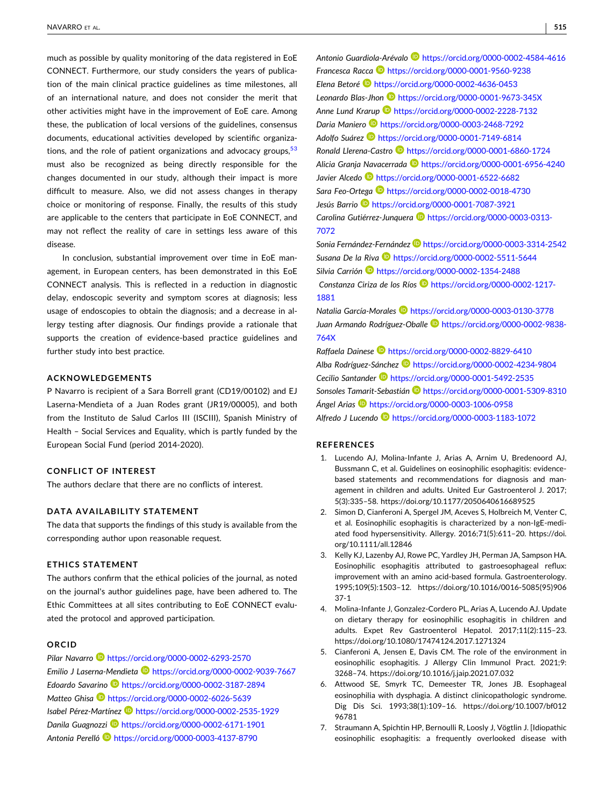<span id="page-8-0"></span>much as possible by quality monitoring of the data registered in EoE CONNECT. Furthermore, our study considers the years of publication of the main clinical practice guidelines as time milestones, all of an international nature, and does not consider the merit that other activities might have in the improvement of EoE care. Among these, the publication of local versions of the guidelines, consensus documents, educational activities developed by scientific organizations, and the role of patient organizations and advocacy groups,  $53$ must also be recognized as being directly responsible for the changes documented in our study, although their impact is more difficult to measure. Also, we did not assess changes in therapy choice or monitoring of response. Finally, the results of this study are applicable to the centers that participate in EoE CONNECT, and may not reflect the reality of care in settings less aware of this disease.

In conclusion, substantial improvement over time in EoE management, in European centers, has been demonstrated in this EoE CONNECT analysis. This is reflected in a reduction in diagnostic delay, endoscopic severity and symptom scores at diagnosis; less usage of endoscopies to obtain the diagnosis; and a decrease in allergy testing after diagnosis. Our findings provide a rationale that supports the creation of evidence‐based practice guidelines and further study into best practice.

#### **ACKNOWLEDGEMENTS**

P Navarro is recipient of a Sara Borrell grant (CD19/00102) and EJ Laserna‐Mendieta of a Juan Rodes grant (JR19/00005), and both from the Instituto de Salud Carlos III (ISCIII), Spanish Ministry of Health – Social Services and Equality, which is partly funded by the European Social Fund (period 2014‐2020).

#### **CONFLICT OF INTEREST**

The authors declare that there are no conflicts of interest.

## **DATA AVAILABILITY STATEMENT**

The data that supports the findings of this study is available from the corresponding author upon reasonable request.

### **ETHICS STATEMENT**

The authors confirm that the ethical policies of the journal, as noted on the journal's author guidelines page, have been adhered to. The Ethic Committees at all sites contributing to EoE CONNECT evaluated the protocol and approved participation.

#### **ORCID**

*Pilar Navarro* <https://orcid.org/0000-0002-6293-2570> *Emilio J Laserna‐Mendieta* <https://orcid.org/0000-0002-9039-7667> *Edoardo Savarino* <https://orcid.org/0000-0002-3187-2894> *Matteo Ghisa* <https://orcid.org/0000-0002-6026-5639> *Isabel Pérez‐Martínez* <https://orcid.org/0000-0002-2535-1929> *Danila Guagnozzi* <https://orcid.org/0000-0002-6171-1901> *Antonia Perelló* <https://orcid.org/0000-0003-4137-8790>

*Antonio Guardiola‐Arévalo* <https://orcid.org/0000-0002-4584-4616> *Francesca Racca* <https://orcid.org/0000-0001-9560-9238> *Elena Betoré* <https://orcid.org/0000-0002-4636-0453> *Leonardo Blas‐Jhon* <https://orcid.org/0000-0001-9673-345X> *Anne Lund Krarup* <https://orcid.org/0000-0002-2228-7132> *Daria Maniero* <https://orcid.org/0000-0003-2468-7292> *Adolfo Suárez* <https://orcid.org/0000-0001-7149-6814> *Ronald Llerena‐Castro* <https://orcid.org/0000-0001-6860-1724> *Alicia Granja Navacerrada* <https://orcid.org/0000-0001-6956-4240> *Javier Alcedo* <https://orcid.org/0000-0001-6522-6682> *Sara Feo‐Ortega* <https://orcid.org/0000-0002-0018-4730> *Jesús Barrio* <https://orcid.org/0000-0001-7087-3921> *Carolina Gutiérrez‐Junquera* [https://orcid.org/0000-0003-0313-](https://orcid.org/0000-0003-0313-7072) [7072](https://orcid.org/0000-0003-0313-7072)

*Sonia Fernández‐Fernández* <https://orcid.org/0000-0003-3314-2542> *Susana De la Riva* <https://orcid.org/0000-0002-5511-5644> *Silvia Carrión* <https://orcid.org/0000-0002-1354-2488> *Constanza Ciriza de los Ríos* [https://orcid.org/0000-0002-1217-](https://orcid.org/0000-0002-1217-1881) [1881](https://orcid.org/0000-0002-1217-1881)

*Natalia García‐Morales* <https://orcid.org/0000-0003-0130-3778> *Juan Armando Rodríguez‐Oballe* [https://orcid.org/0000-0002-9838-](https://orcid.org/0000-0002-9838-764X) [764X](https://orcid.org/0000-0002-9838-764X)

*Raffaela Dainese* <https://orcid.org/0000-0002-8829-6410> *Alba Rodríguez‐Sánchez* <https://orcid.org/0000-0002-4234-9804> *Cecilio Santander* <https://orcid.org/0000-0001-5492-2535> *Sonsoles Tamarit‐Sebastián* <https://orcid.org/0000-0001-5309-8310> *Ángel Arias* <https://orcid.org/0000-0003-1006-0958> *Alfredo J Lucendo* <https://orcid.org/0000-0003-1183-1072>

#### **REFERENCES**

- 1. Lucendo AJ, Molina‐Infante J, Arias A, Arnim U, Bredenoord AJ, Bussmann C, et al. Guidelines on eosinophilic esophagitis: evidence‐ based statements and recommendations for diagnosis and management in children and adults. United Eur Gastroenterol J. 2017; 5(3):335–58. <https://doi.org/10.1177/2050640616689525>
- 2. Simon D, Cianferoni A, Spergel JM, Aceves S, Holbreich M, Venter C, et al. Eosinophilic esophagitis is characterized by a non‐IgE‐mediated food hypersensitivity. Allergy. 2016;71(5):611–20. [https://doi.](https://doi.org/10.1111/all.12846) [org/10.1111/all.12846](https://doi.org/10.1111/all.12846)
- 3. Kelly KJ, Lazenby AJ, Rowe PC, Yardley JH, Perman JA, Sampson HA. Eosinophilic esophagitis attributed to gastroesophageal reflux: improvement with an amino acid‐based formula. Gastroenterology. 1995;109(5):1503–12. [https://doi.org/10.1016/0016](https://doi.org/10.1016/0016-5085(95)90637-1)‐5085(95)906 [37](https://doi.org/10.1016/0016-5085(95)90637-1)‐1
- 4. Molina-Infante J, Gonzalez-Cordero PL, Arias A, Lucendo AJ. Update on dietary therapy for eosinophilic esophagitis in children and adults. Expet Rev Gastroenterol Hepatol. 2017;11(2):115–23. <https://doi.org/10.1080/17474124.2017.1271324>
- 5. Cianferoni A, Jensen E, Davis CM. The role of the environment in eosinophilic esophagitis. J Allergy Clin Immunol Pract. 2021;9: 3268–74. <https://doi.org/10.1016/j.jaip.2021.07.032>
- 6. Attwood SE, Smyrk TC, Demeester TR, Jones JB. Esophageal eosinophilia with dysphagia. A distinct clinicopathologic syndrome. Dig Dis Sci. 1993;38(1):109–16. [https://doi.org/10.1007/bf012](https://doi.org/10.1007/bf01296781) [96781](https://doi.org/10.1007/bf01296781)
- 7. Straumann A, Spichtin HP, Bernoulli R, Loosly J, Vögtlin J. [Idiopathic eosinophilic esophagitis: a frequently overlooked disease with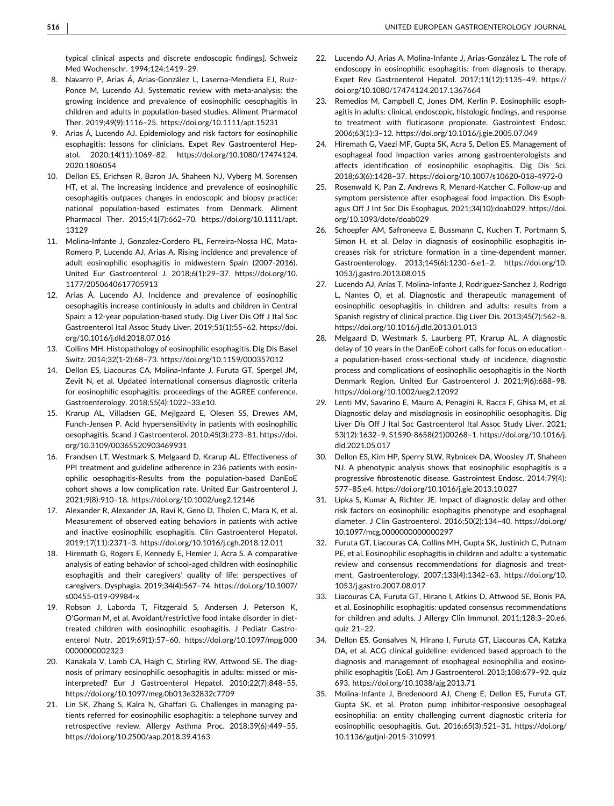<span id="page-9-0"></span>typical clinical aspects and discrete endoscopic findings]. Schweiz Med Wochenschr. 1994;124:1419–29.

- 8. Navarro P, Arias Á, Arias‐González L, Laserna‐Mendieta EJ, Ruiz‐ Ponce M, Lucendo AJ. Systematic review with meta‐analysis: the growing incidence and prevalence of eosinophilic oesophagitis in children and adults in population‐based studies. Aliment Pharmacol Ther. 2019;49(9):1116–25. <https://doi.org/10.1111/apt.15231>
- 9. Arias Á, Lucendo AJ. Epidemiology and risk factors for eosinophilic esophagitis: lessons for clinicians. Expet Rev Gastroenterol Hepatol. 2020;14(11):1069–82. [https://doi.org/10.1080/17474124.](https://doi.org/10.1080/17474124.2020.1806054) [2020.1806054](https://doi.org/10.1080/17474124.2020.1806054)
- 10. Dellon ES, Erichsen R, Baron JA, Shaheen NJ, Vyberg M, Sorensen HT, et al. The increasing incidence and prevalence of eosinophilic oesophagitis outpaces changes in endoscopic and biopsy practice: national population‐based estimates from Denmark. Aliment Pharmacol Ther. 2015;41(7):662–70. [https://doi.org/10.1111/apt.](https://doi.org/10.1111/apt.13129) [13129](https://doi.org/10.1111/apt.13129)
- 11. Molina-Infante J, Gonzalez-Cordero PL, Ferreira-Nossa HC, Mata-Romero P, Lucendo AJ, Arias A. Rising incidence and prevalence of adult eosinophilic esophagitis in midwestern Spain (2007‐2016). United Eur Gastroenterol J. 2018;6(1):29–37. [https://doi.org/10.](https://doi.org/10.1177/2050640617705913) [1177/2050640617705913](https://doi.org/10.1177/2050640617705913)
- 12. Arias Á, Lucendo AJ. Incidence and prevalence of eosinophilic oesophagitis increase continiously in adults and children in Central Spain: a 12‐year population‐based study. Dig Liver Dis Off J Ital Soc Gastroenterol Ital Assoc Study Liver. 2019;51(1):55–62. [https://doi.](https://doi.org/10.1016/j.dld.2018.07.016) [org/10.1016/j.dld.2018.07.016](https://doi.org/10.1016/j.dld.2018.07.016)
- 13. Collins MH. Histopathology of eosinophilic esophagitis. Dig Dis Basel Switz. 2014;32(1‐2):68–73. <https://doi.org/10.1159/000357012>
- Dellon ES, Liacouras CA, Molina-Infante J, Furuta GT, Spergel JM, Zevit N, et al. Updated international consensus diagnostic criteria for eosinophilic esophagitis: proceedings of the AGREE conference. Gastroenterology. 2018;55(4):1022–33.e10.
- 15. Krarup AL, Villadsen GE, Mejlgaard E, Olesen SS, Drewes AM, Funch‐Jensen P. Acid hypersensitivity in patients with eosinophilic oesophagitis. Scand J Gastroenterol. 2010;45(3):273–81. [https://doi.](https://doi.org/10.3109/00365520903469931) [org/10.3109/00365520903469931](https://doi.org/10.3109/00365520903469931)
- 16. Frandsen LT, Westmark S, Melgaard D, Krarup AL. Effectiveness of PPI treatment and guideline adherence in 236 patients with eosinophilic oesophagitis‐Results from the population‐based DanEoE cohort shows a low complication rate. United Eur Gastroenterol J. 2021;9(8):910–18. <https://doi.org/10.1002/ueg2.12146>
- 17. Alexander R, Alexander JA, Ravi K, Geno D, Tholen C, Mara K, et al. Measurement of observed eating behaviors in patients with active and inactive eosinophilic esophagitis. Clin Gastroenterol Hepatol. 2019;17(11):2371–3. <https://doi.org/10.1016/j.cgh.2018.12.011>
- 18. Hiremath G, Rogers E, Kennedy E, Hemler J, Acra S. A comparative analysis of eating behavior of school‐aged children with eosinophilic esophagitis and their caregivers' quality of life: perspectives of caregivers. Dysphagia. 2019;34(4):567–74. [https://doi.org/10.1007/](https://doi.org/10.1007/s00455-019-09984-x) [s00455](https://doi.org/10.1007/s00455-019-09984-x)‐019‐09984‐x
- 19. Robson J, Laborda T, Fitzgerald S, Andersen J, Peterson K, O'Gorman M, et al. Avoidant/restrictive food intake disorder in diet‐ treated children with eosinophilic esophagitis. J Pediatr Gastroenterol Nutr. 2019;69(1):57–60. [https://doi.org/10.1097/mpg.000](https://doi.org/10.1097/mpg.0000000000002323) [0000000002323](https://doi.org/10.1097/mpg.0000000000002323)
- 20. Kanakala V, Lamb CA, Haigh C, Stirling RW, Attwood SE. The diagnosis of primary eosinophilic oesophagitis in adults: missed or misinterpreted? Eur J Gastroenterol Hepatol. 2010;22(7):848–55. <https://doi.org/10.1097/meg.0b013e32832c7709>
- 21. Lin SK, Zhang S, Kalra N, Ghaffari G. Challenges in managing patients referred for eosinophilic esophagitis: a telephone survey and retrospective review. Allergy Asthma Proc. 2018;39(6):449–55. <https://doi.org/10.2500/aap.2018.39.4163>
- 22. Lucendo AJ, Arias A, Molina-Infante J, Arias-González L. The role of endoscopy in eosinophilic esophagitis: from diagnosis to therapy. Expet Rev Gastroenterol Hepatol. 2017;11(12):1135–49. [https://](https://doi.org/10.1080/17474124.2017.1367664) [doi.org/10.1080/17474124.2017.1367664](https://doi.org/10.1080/17474124.2017.1367664)
- 23. Remedios M, Campbell C, Jones DM, Kerlin P. Eosinophilic esophagitis in adults: clinical, endoscopic, histologic findings, and response to treatment with fluticasone propionate. Gastrointest Endosc. 2006;63(1):3–12. <https://doi.org/10.1016/j.gie.2005.07.049>
- 24. Hiremath G, Vaezi MF, Gupta SK, Acra S, Dellon ES. Management of esophageal food impaction varies among gastroenterologists and affects identification of eosinophilic esophagitis. Dig Dis Sci. 2018;63(6):1428–37. [https://doi.org/10.1007/s10620](https://doi.org/10.1007/s10620-018-4972-0)‐018‐4972‐0
- 25. Rosenwald K, Pan Z, Andrews R, Menard‐Katcher C. Follow‐up and symptom persistence after esophageal food impaction. Dis Esophagus Off J Int Soc Dis Esophagus. 2021;34(10):doab029. [https://doi.](https://doi.org/10.1093/dote/doab029) [org/10.1093/dote/doab029](https://doi.org/10.1093/dote/doab029)
- 26. Schoepfer AM, Safroneeva E, Bussmann C, Kuchen T, Portmann S, Simon H, et al. Delay in diagnosis of eosinophilic esophagitis increases risk for stricture formation in a time‐dependent manner. Gastroenterology. 2013;145(6):1230–6.e1–2. [https://doi.org/10.](https://doi.org/10.1053/j.gastro.2013.08.015) [1053/j.gastro.2013.08.015](https://doi.org/10.1053/j.gastro.2013.08.015)
- 27. Lucendo AJ, Arias T, Molina-Infante J, Rodriguez-Sanchez J, Rodrigo L, Nantes O, et al. Diagnostic and therapeutic management of eosinophilic oesophagitis in children and adults: results from a Spanish registry of clinical practice. Dig Liver Dis. 2013;45(7):562–8. <https://doi.org/10.1016/j.dld.2013.01.013>
- 28. Melgaard D, Westmark S, Laurberg PT, Krarup AL. A diagnostic delay of 10 years in the DanEoE cohort calls for focus on education ‐ a population‐based cross‐sectional study of incidence, diagnostic process and complications of eosinophilic oesophagitis in the North Denmark Region. United Eur Gastroenterol J. 2021;9(6):688–98. <https://doi.org/10.1002/ueg2.12092>
- 29. Lenti MV, Savarino E, Mauro A, Penagini R, Racca F, Ghisa M, et al. Diagnostic delay and misdiagnosis in eosinophilic oesophagitis. Dig Liver Dis Off J Ital Soc Gastroenterol Ital Assoc Study Liver. 2021; 53(12):1632–9. S1590‐8658(21)00268–1. [https://doi.org/10.1016/j.](https://doi.org/10.1016/j.dld.2021.05.017) [dld.2021.05.017](https://doi.org/10.1016/j.dld.2021.05.017)
- 30. Dellon ES, Kim HP, Sperry SLW, Rybnicek DA, Woosley JT, Shaheen NJ. A phenotypic analysis shows that eosinophilic esophagitis is a progressive fibrostenotic disease. Gastrointest Endosc. 2014;79(4): 577–85.e4. <https://doi.org/10.1016/j.gie.2013.10.027>
- 31. Lipka S, Kumar A, Richter JE. Impact of diagnostic delay and other risk factors on eosinophilic esophagitis phenotype and esophageal diameter. J Clin Gastroenterol. 2016;50(2):134–40. [https://doi.org/](https://doi.org/10.1097/mcg.0000000000000297) [10.1097/mcg.0000000000000297](https://doi.org/10.1097/mcg.0000000000000297)
- 32. Furuta GT, Liacouras CA, Collins MH, Gupta SK, Justinich C, Putnam PE, et al. Eosinophilic esophagitis in children and adults: a systematic review and consensus recommendations for diagnosis and treatment. Gastroenterology. 2007;133(4):1342–63. [https://doi.org/10.](https://doi.org/10.1053/j.gastro.2007.08.017) [1053/j.gastro.2007.08.017](https://doi.org/10.1053/j.gastro.2007.08.017)
- 33. Liacouras CA, Furuta GT, Hirano I, Atkins D, Attwood SE, Bonis PA, et al. Eosinophilic esophagitis: updated consensus recommendations for children and adults. J Allergy Clin Immunol. 2011;128:3–20.e6. quiz 21–22.
- 34. Dellon ES, Gonsalves N, Hirano I, Furuta GT, Liacouras CA, Katzka DA, et al. ACG clinical guideline: evidenced based approach to the diagnosis and management of esophageal eosinophilia and eosinophilic esophagitis (EoE). Am J Gastroenterol. 2013;108:679–92. quiz 693. <https://doi.org/10.1038/ajg.2013.71>
- 35. Molina‐Infante J, Bredenoord AJ, Cheng E, Dellon ES, Furuta GT, Gupta SK, et al. Proton pump inhibitor‐responsive oesophageal eosinophilia: an entity challenging current diagnostic criteria for eosinophilic oesophagitis. Gut. 2016;65(3):521–31. [https://doi.org/](https://doi.org/10.1136/gutjnl-2015-310991) [10.1136/gutjnl](https://doi.org/10.1136/gutjnl-2015-310991)‐2015‐310991